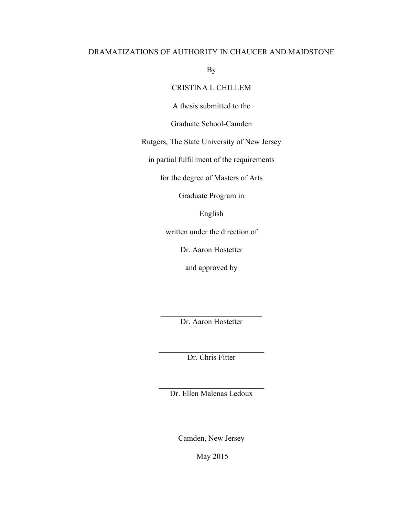## DRAMATIZATIONS OF AUTHORITY IN CHAUCER AND MAIDSTONE

By

# CRISTINA L CHILLEM

A thesis submitted to the

Graduate School-Camden

Rutgers, The State University of New Jersey

in partial fulfillment of the requirements

for the degree of Masters of Arts

Graduate Program in

English

written under the direction of

Dr. Aaron Hostetter

and approved by

 $\mathcal{L}_\text{max}$  , where  $\mathcal{L}_\text{max}$  and  $\mathcal{L}_\text{max}$ Dr. Aaron Hostetter

\_\_\_\_\_\_\_\_\_\_\_\_\_\_\_\_\_\_\_\_\_\_\_\_\_\_\_ Dr. Chris Fitter

\_\_\_\_\_\_\_\_\_\_\_\_\_\_\_\_\_\_\_\_\_\_\_\_\_\_\_ Dr. Ellen Malenas Ledoux

Camden, New Jersey

May 2015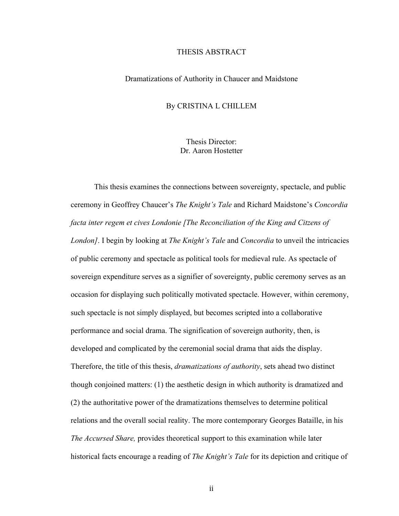### THESIS ABSTRACT

### Dramatizations of Authority in Chaucer and Maidstone

### By CRISTINA L CHILLEM

Thesis Director: Dr. Aaron Hostetter

This thesis examines the connections between sovereignty, spectacle, and public ceremony in Geoffrey Chaucer's *The Knight's Tale* and Richard Maidstone's *Concordia facta inter regem et cives Londonie [The Reconciliation of the King and Citzens of London]*. I begin by looking at *The Knight's Tale* and *Concordia* to unveil the intricacies of public ceremony and spectacle as political tools for medieval rule. As spectacle of sovereign expenditure serves as a signifier of sovereignty, public ceremony serves as an occasion for displaying such politically motivated spectacle. However, within ceremony, such spectacle is not simply displayed, but becomes scripted into a collaborative performance and social drama. The signification of sovereign authority, then, is developed and complicated by the ceremonial social drama that aids the display. Therefore, the title of this thesis, *dramatizations of authority*, sets ahead two distinct though conjoined matters: (1) the aesthetic design in which authority is dramatized and (2) the authoritative power of the dramatizations themselves to determine political relations and the overall social reality. The more contemporary Georges Bataille, in his *The Accursed Share,* provides theoretical support to this examination while later historical facts encourage a reading of *The Knight's Tale* for its depiction and critique of

ii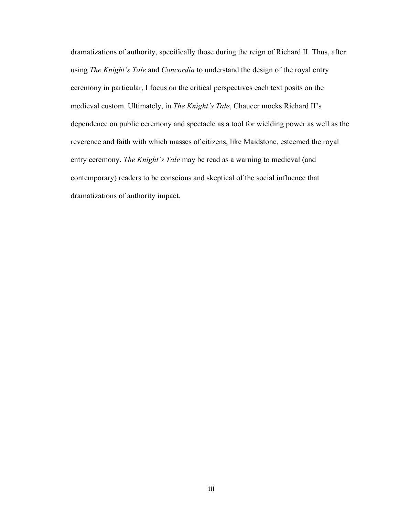dramatizations of authority, specifically those during the reign of Richard II. Thus, after using *The Knight's Tale* and *Concordia* to understand the design of the royal entry ceremony in particular, I focus on the critical perspectives each text posits on the medieval custom. Ultimately, in *The Knight's Tale*, Chaucer mocks Richard II's dependence on public ceremony and spectacle as a tool for wielding power as well as the reverence and faith with which masses of citizens, like Maidstone, esteemed the royal entry ceremony. *The Knight's Tale* may be read as a warning to medieval (and contemporary) readers to be conscious and skeptical of the social influence that dramatizations of authority impact.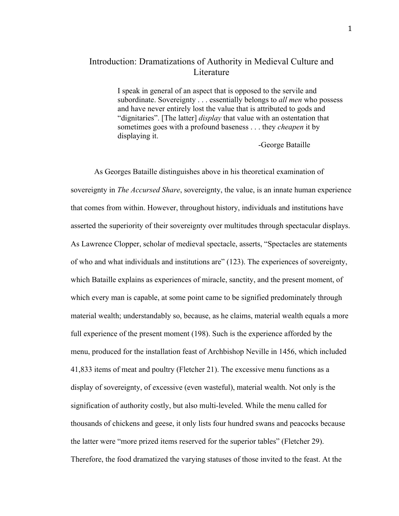# Introduction: Dramatizations of Authority in Medieval Culture and **L**iterature

I speak in general of an aspect that is opposed to the servile and subordinate. Sovereignty . . . essentially belongs to *all men* who possess and have never entirely lost the value that is attributed to gods and "dignitaries". [The latter] *display* that value with an ostentation that sometimes goes with a profound baseness . . . they *cheapen* it by displaying it.

-George Bataille

As Georges Bataille distinguishes above in his theoretical examination of sovereignty in *The Accursed Share*, sovereignty, the value, is an innate human experience that comes from within. However, throughout history, individuals and institutions have asserted the superiority of their sovereignty over multitudes through spectacular displays. As Lawrence Clopper, scholar of medieval spectacle, asserts, "Spectacles are statements of who and what individuals and institutions are" (123). The experiences of sovereignty, which Bataille explains as experiences of miracle, sanctity, and the present moment, of which every man is capable, at some point came to be signified predominately through material wealth; understandably so, because, as he claims, material wealth equals a more full experience of the present moment (198). Such is the experience afforded by the menu, produced for the installation feast of Archbishop Neville in 1456, which included 41,833 items of meat and poultry (Fletcher 21). The excessive menu functions as a display of sovereignty, of excessive (even wasteful), material wealth. Not only is the signification of authority costly, but also multi-leveled. While the menu called for thousands of chickens and geese, it only lists four hundred swans and peacocks because the latter were "more prized items reserved for the superior tables" (Fletcher 29). Therefore, the food dramatized the varying statuses of those invited to the feast. At the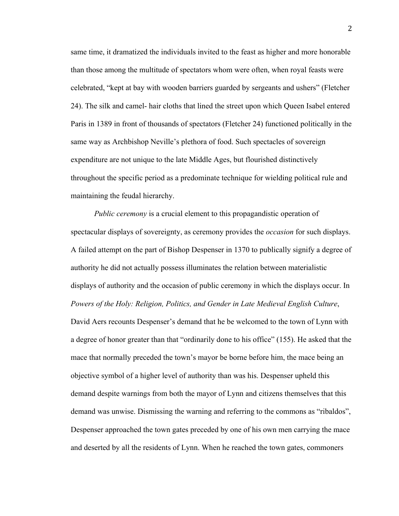same time, it dramatized the individuals invited to the feast as higher and more honorable than those among the multitude of spectators whom were often, when royal feasts were celebrated, "kept at bay with wooden barriers guarded by sergeants and ushers" (Fletcher 24). The silk and camel- hair cloths that lined the street upon which Queen Isabel entered Paris in 1389 in front of thousands of spectators (Fletcher 24) functioned politically in the same way as Archbishop Neville's plethora of food. Such spectacles of sovereign expenditure are not unique to the late Middle Ages, but flourished distinctively throughout the specific period as a predominate technique for wielding political rule and maintaining the feudal hierarchy.

*Public ceremony* is a crucial element to this propagandistic operation of spectacular displays of sovereignty, as ceremony provides the *occasion* for such displays. A failed attempt on the part of Bishop Despenser in 1370 to publically signify a degree of authority he did not actually possess illuminates the relation between materialistic displays of authority and the occasion of public ceremony in which the displays occur. In *Powers of the Holy: Religion, Politics, and Gender in Late Medieval English Culture*, David Aers recounts Despenser's demand that he be welcomed to the town of Lynn with a degree of honor greater than that "ordinarily done to his office" (155). He asked that the mace that normally preceded the town's mayor be borne before him, the mace being an objective symbol of a higher level of authority than was his. Despenser upheld this demand despite warnings from both the mayor of Lynn and citizens themselves that this demand was unwise. Dismissing the warning and referring to the commons as "ribaldos", Despenser approached the town gates preceded by one of his own men carrying the mace and deserted by all the residents of Lynn. When he reached the town gates, commoners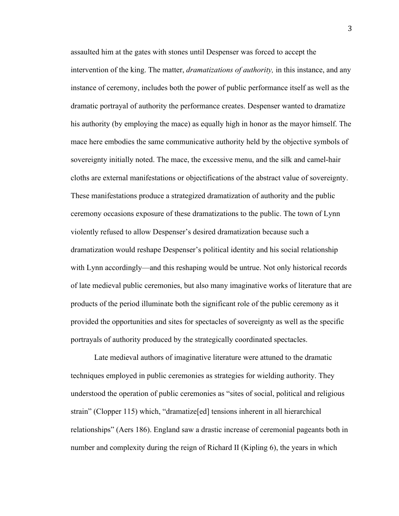assaulted him at the gates with stones until Despenser was forced to accept the intervention of the king. The matter, *dramatizations of authority,* in this instance, and any instance of ceremony, includes both the power of public performance itself as well as the dramatic portrayal of authority the performance creates. Despenser wanted to dramatize his authority (by employing the mace) as equally high in honor as the mayor himself. The mace here embodies the same communicative authority held by the objective symbols of sovereignty initially noted. The mace, the excessive menu, and the silk and camel-hair cloths are external manifestations or objectifications of the abstract value of sovereignty. These manifestations produce a strategized dramatization of authority and the public ceremony occasions exposure of these dramatizations to the public. The town of Lynn violently refused to allow Despenser's desired dramatization because such a dramatization would reshape Despenser's political identity and his social relationship with Lynn accordingly—and this reshaping would be untrue. Not only historical records of late medieval public ceremonies, but also many imaginative works of literature that are products of the period illuminate both the significant role of the public ceremony as it provided the opportunities and sites for spectacles of sovereignty as well as the specific portrayals of authority produced by the strategically coordinated spectacles.

Late medieval authors of imaginative literature were attuned to the dramatic techniques employed in public ceremonies as strategies for wielding authority. They understood the operation of public ceremonies as "sites of social, political and religious strain" (Clopper 115) which, "dramatize[ed] tensions inherent in all hierarchical relationships" (Aers 186). England saw a drastic increase of ceremonial pageants both in number and complexity during the reign of Richard II (Kipling 6), the years in which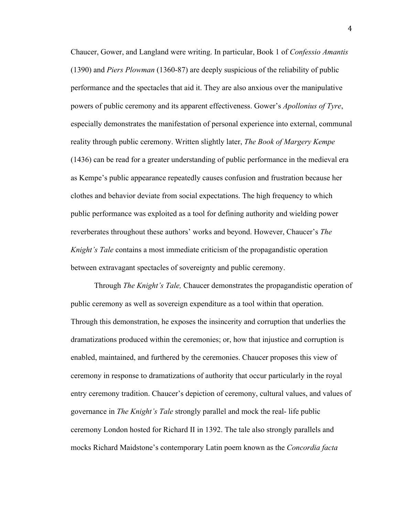Chaucer, Gower, and Langland were writing. In particular, Book 1 of *Confessio Amantis* (1390) and *Piers Plowman* (1360-87) are deeply suspicious of the reliability of public performance and the spectacles that aid it. They are also anxious over the manipulative powers of public ceremony and its apparent effectiveness. Gower's *Apollonius of Tyre*, especially demonstrates the manifestation of personal experience into external, communal reality through public ceremony. Written slightly later, *The Book of Margery Kempe* (1436) can be read for a greater understanding of public performance in the medieval era as Kempe's public appearance repeatedly causes confusion and frustration because her clothes and behavior deviate from social expectations. The high frequency to which public performance was exploited as a tool for defining authority and wielding power reverberates throughout these authors' works and beyond. However, Chaucer's *The Knight's Tale* contains a most immediate criticism of the propagandistic operation between extravagant spectacles of sovereignty and public ceremony.

Through *The Knight's Tale,* Chaucer demonstrates the propagandistic operation of public ceremony as well as sovereign expenditure as a tool within that operation. Through this demonstration, he exposes the insincerity and corruption that underlies the dramatizations produced within the ceremonies; or, how that injustice and corruption is enabled, maintained, and furthered by the ceremonies. Chaucer proposes this view of ceremony in response to dramatizations of authority that occur particularly in the royal entry ceremony tradition. Chaucer's depiction of ceremony, cultural values, and values of governance in *The Knight's Tale* strongly parallel and mock the real- life public ceremony London hosted for Richard II in 1392. The tale also strongly parallels and mocks Richard Maidstone's contemporary Latin poem known as the *Concordia facta*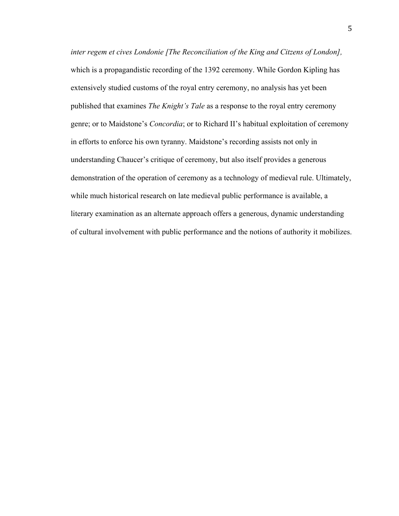*inter regem et cives Londonie [The Reconciliation of the King and Citzens of London],*  which is a propagandistic recording of the 1392 ceremony. While Gordon Kipling has extensively studied customs of the royal entry ceremony, no analysis has yet been published that examines *The Knight's Tale* as a response to the royal entry ceremony genre; or to Maidstone's *Concordia*; or to Richard II's habitual exploitation of ceremony in efforts to enforce his own tyranny. Maidstone's recording assists not only in understanding Chaucer's critique of ceremony, but also itself provides a generous demonstration of the operation of ceremony as a technology of medieval rule. Ultimately, while much historical research on late medieval public performance is available, a literary examination as an alternate approach offers a generous, dynamic understanding of cultural involvement with public performance and the notions of authority it mobilizes.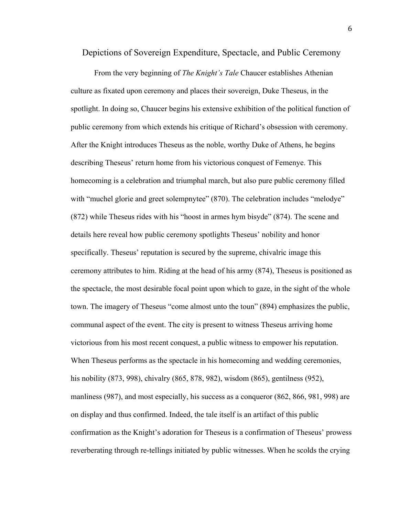Depictions of Sovereign Expenditure, Spectacle, and Public Ceremony

From the very beginning of *The Knight's Tale* Chaucer establishes Athenian culture as fixated upon ceremony and places their sovereign, Duke Theseus, in the spotlight. In doing so, Chaucer begins his extensive exhibition of the political function of public ceremony from which extends his critique of Richard's obsession with ceremony. After the Knight introduces Theseus as the noble, worthy Duke of Athens, he begins describing Theseus' return home from his victorious conquest of Femenye. This homecoming is a celebration and triumphal march, but also pure public ceremony filled with "muchel glorie and greet solempnytee" (870). The celebration includes "melodye" (872) while Theseus rides with his "hoost in armes hym bisyde" (874). The scene and details here reveal how public ceremony spotlights Theseus' nobility and honor specifically. Theseus' reputation is secured by the supreme, chivalric image this ceremony attributes to him. Riding at the head of his army (874), Theseus is positioned as the spectacle, the most desirable focal point upon which to gaze, in the sight of the whole town. The imagery of Theseus "come almost unto the toun" (894) emphasizes the public, communal aspect of the event. The city is present to witness Theseus arriving home victorious from his most recent conquest, a public witness to empower his reputation. When Theseus performs as the spectacle in his homecoming and wedding ceremonies, his nobility (873, 998), chivalry (865, 878, 982), wisdom (865), gentilness (952), manliness (987), and most especially, his success as a conqueror (862, 866, 981, 998) are on display and thus confirmed. Indeed, the tale itself is an artifact of this public confirmation as the Knight's adoration for Theseus is a confirmation of Theseus' prowess reverberating through re-tellings initiated by public witnesses. When he scolds the crying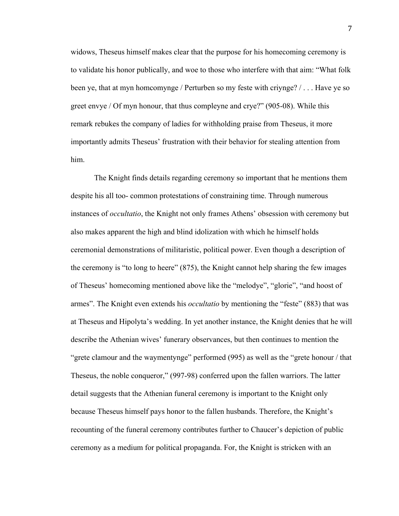widows, Theseus himself makes clear that the purpose for his homecoming ceremony is to validate his honor publically, and woe to those who interfere with that aim: "What folk been ye, that at myn homcomynge / Perturben so my feste with criynge? / . . . Have ye so greet envye / Of myn honour, that thus compleyne and crye?" (905-08). While this remark rebukes the company of ladies for withholding praise from Theseus, it more importantly admits Theseus' frustration with their behavior for stealing attention from him.

The Knight finds details regarding ceremony so important that he mentions them despite his all too- common protestations of constraining time. Through numerous instances of *occultatio*, the Knight not only frames Athens' obsession with ceremony but also makes apparent the high and blind idolization with which he himself holds ceremonial demonstrations of militaristic, political power. Even though a description of the ceremony is "to long to heere" (875), the Knight cannot help sharing the few images of Theseus' homecoming mentioned above like the "melodye", "glorie", "and hoost of armes". The Knight even extends his *occultatio* by mentioning the "feste" (883) that was at Theseus and Hipolyta's wedding. In yet another instance, the Knight denies that he will describe the Athenian wives' funerary observances, but then continues to mention the "grete clamour and the waymentynge" performed (995) as well as the "grete honour / that Theseus, the noble conqueror," (997-98) conferred upon the fallen warriors. The latter detail suggests that the Athenian funeral ceremony is important to the Knight only because Theseus himself pays honor to the fallen husbands. Therefore, the Knight's recounting of the funeral ceremony contributes further to Chaucer's depiction of public ceremony as a medium for political propaganda. For, the Knight is stricken with an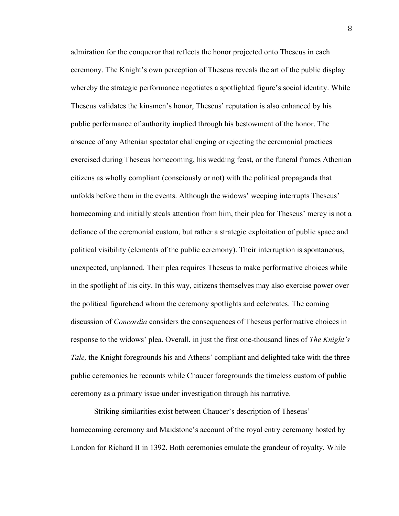admiration for the conqueror that reflects the honor projected onto Theseus in each ceremony. The Knight's own perception of Theseus reveals the art of the public display whereby the strategic performance negotiates a spotlighted figure's social identity. While Theseus validates the kinsmen's honor, Theseus' reputation is also enhanced by his public performance of authority implied through his bestowment of the honor. The absence of any Athenian spectator challenging or rejecting the ceremonial practices exercised during Theseus homecoming, his wedding feast, or the funeral frames Athenian citizens as wholly compliant (consciously or not) with the political propaganda that unfolds before them in the events. Although the widows' weeping interrupts Theseus' homecoming and initially steals attention from him, their plea for Theseus' mercy is not a defiance of the ceremonial custom, but rather a strategic exploitation of public space and political visibility (elements of the public ceremony). Their interruption is spontaneous, unexpected, unplanned. Their plea requires Theseus to make performative choices while in the spotlight of his city. In this way, citizens themselves may also exercise power over the political figurehead whom the ceremony spotlights and celebrates. The coming discussion of *Concordia* considers the consequences of Theseus performative choices in response to the widows' plea. Overall, in just the first one-thousand lines of *The Knight's Tale,* the Knight foregrounds his and Athens' compliant and delighted take with the three public ceremonies he recounts while Chaucer foregrounds the timeless custom of public ceremony as a primary issue under investigation through his narrative.

Striking similarities exist between Chaucer's description of Theseus' homecoming ceremony and Maidstone's account of the royal entry ceremony hosted by London for Richard II in 1392. Both ceremonies emulate the grandeur of royalty. While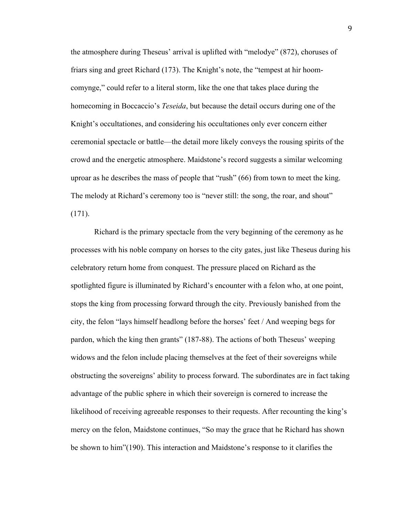the atmosphere during Theseus' arrival is uplifted with "melodye" (872), choruses of friars sing and greet Richard (173). The Knight's note, the "tempest at hir hoomcomynge," could refer to a literal storm, like the one that takes place during the homecoming in Boccaccio's *Teseida*, but because the detail occurs during one of the Knight's occultationes, and considering his occultationes only ever concern either ceremonial spectacle or battle—the detail more likely conveys the rousing spirits of the crowd and the energetic atmosphere. Maidstone's record suggests a similar welcoming uproar as he describes the mass of people that "rush" (66) from town to meet the king. The melody at Richard's ceremony too is "never still: the song, the roar, and shout" (171).

Richard is the primary spectacle from the very beginning of the ceremony as he processes with his noble company on horses to the city gates, just like Theseus during his celebratory return home from conquest. The pressure placed on Richard as the spotlighted figure is illuminated by Richard's encounter with a felon who, at one point, stops the king from processing forward through the city. Previously banished from the city, the felon "lays himself headlong before the horses' feet / And weeping begs for pardon, which the king then grants" (187-88). The actions of both Theseus' weeping widows and the felon include placing themselves at the feet of their sovereigns while obstructing the sovereigns' ability to process forward. The subordinates are in fact taking advantage of the public sphere in which their sovereign is cornered to increase the likelihood of receiving agreeable responses to their requests. After recounting the king's mercy on the felon, Maidstone continues, "So may the grace that he Richard has shown be shown to him"(190). This interaction and Maidstone's response to it clarifies the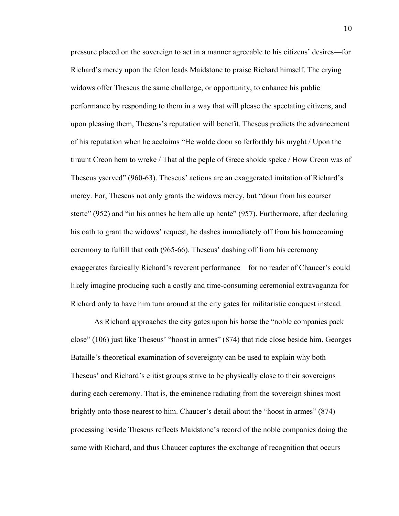pressure placed on the sovereign to act in a manner agreeable to his citizens' desires—for Richard's mercy upon the felon leads Maidstone to praise Richard himself. The crying widows offer Theseus the same challenge, or opportunity, to enhance his public performance by responding to them in a way that will please the spectating citizens, and upon pleasing them, Theseus's reputation will benefit. Theseus predicts the advancement of his reputation when he acclaims "He wolde doon so ferforthly his myght / Upon the tiraunt Creon hem to wreke / That al the peple of Grece sholde speke / How Creon was of Theseus yserved" (960-63). Theseus' actions are an exaggerated imitation of Richard's mercy. For, Theseus not only grants the widows mercy, but "doun from his courser sterte" (952) and "in his armes he hem alle up hente" (957). Furthermore, after declaring his oath to grant the widows' request, he dashes immediately off from his homecoming ceremony to fulfill that oath (965-66). Theseus' dashing off from his ceremony exaggerates farcically Richard's reverent performance—for no reader of Chaucer's could likely imagine producing such a costly and time-consuming ceremonial extravaganza for Richard only to have him turn around at the city gates for militaristic conquest instead.

As Richard approaches the city gates upon his horse the "noble companies pack close" (106) just like Theseus' "hoost in armes" (874) that ride close beside him. Georges Bataille's theoretical examination of sovereignty can be used to explain why both Theseus' and Richard's elitist groups strive to be physically close to their sovereigns during each ceremony. That is, the eminence radiating from the sovereign shines most brightly onto those nearest to him. Chaucer's detail about the "hoost in armes" (874) processing beside Theseus reflects Maidstone's record of the noble companies doing the same with Richard, and thus Chaucer captures the exchange of recognition that occurs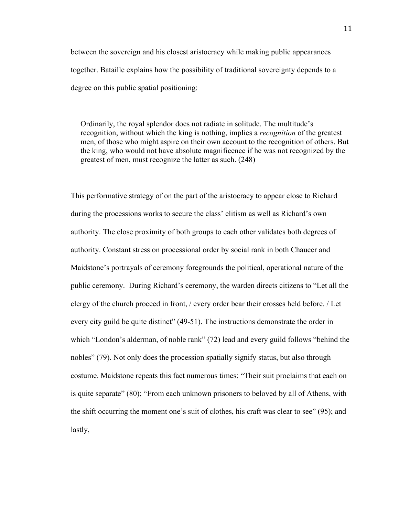between the sovereign and his closest aristocracy while making public appearances together. Bataille explains how the possibility of traditional sovereignty depends to a degree on this public spatial positioning:

Ordinarily, the royal splendor does not radiate in solitude. The multitude's recognition, without which the king is nothing, implies a *recognition* of the greatest men, of those who might aspire on their own account to the recognition of others. But the king, who would not have absolute magnificence if he was not recognized by the greatest of men, must recognize the latter as such. (248)

This performative strategy of on the part of the aristocracy to appear close to Richard during the processions works to secure the class' elitism as well as Richard's own authority. The close proximity of both groups to each other validates both degrees of authority. Constant stress on processional order by social rank in both Chaucer and Maidstone's portrayals of ceremony foregrounds the political, operational nature of the public ceremony. During Richard's ceremony, the warden directs citizens to "Let all the clergy of the church proceed in front, / every order bear their crosses held before. / Let every city guild be quite distinct" (49-51). The instructions demonstrate the order in which "London's alderman, of noble rank" (72) lead and every guild follows "behind the nobles" (79). Not only does the procession spatially signify status, but also through costume. Maidstone repeats this fact numerous times: "Their suit proclaims that each on is quite separate" (80); "From each unknown prisoners to beloved by all of Athens, with the shift occurring the moment one's suit of clothes, his craft was clear to see" (95); and lastly,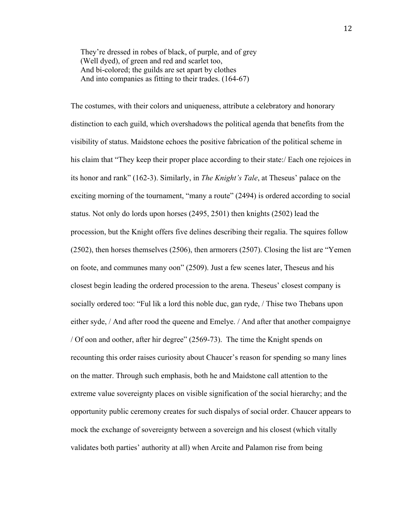They're dressed in robes of black, of purple, and of grey (Well dyed), of green and red and scarlet too, And bi-colored; the guilds are set apart by clothes And into companies as fitting to their trades. (164-67)

The costumes, with their colors and uniqueness, attribute a celebratory and honorary distinction to each guild, which overshadows the political agenda that benefits from the visibility of status. Maidstone echoes the positive fabrication of the political scheme in his claim that "They keep their proper place according to their state:/ Each one rejoices in its honor and rank" (162-3). Similarly, in *The Knight's Tale*, at Theseus' palace on the exciting morning of the tournament, "many a route" (2494) is ordered according to social status. Not only do lords upon horses (2495, 2501) then knights (2502) lead the procession, but the Knight offers five delines describing their regalia. The squires follow (2502), then horses themselves (2506), then armorers (2507). Closing the list are "Yemen on foote, and communes many oon" (2509). Just a few scenes later, Theseus and his closest begin leading the ordered procession to the arena. Theseus' closest company is socially ordered too: "Ful lik a lord this noble duc, gan ryde, / Thise two Thebans upon either syde, / And after rood the queene and Emelye. / And after that another compaignye / Of oon and oother, after hir degree" (2569-73). The time the Knight spends on recounting this order raises curiosity about Chaucer's reason for spending so many lines on the matter. Through such emphasis, both he and Maidstone call attention to the extreme value sovereignty places on visible signification of the social hierarchy; and the opportunity public ceremony creates for such dispalys of social order. Chaucer appears to mock the exchange of sovereignty between a sovereign and his closest (which vitally validates both parties' authority at all) when Arcite and Palamon rise from being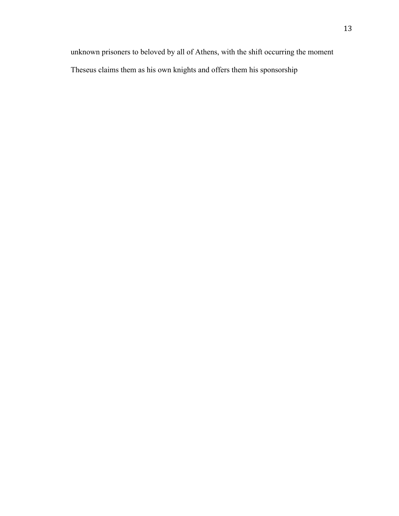unknown prisoners to beloved by all of Athens, with the shift occurring the moment Theseus claims them as his own knights and offers them his sponsorship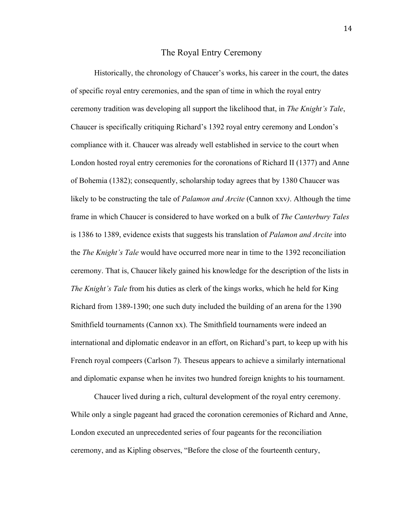## The Royal Entry Ceremony

Historically, the chronology of Chaucer's works, his career in the court, the dates of specific royal entry ceremonies, and the span of time in which the royal entry ceremony tradition was developing all support the likelihood that, in *The Knight's Tale*, Chaucer is specifically critiquing Richard's 1392 royal entry ceremony and London's compliance with it. Chaucer was already well established in service to the court when London hosted royal entry ceremonies for the coronations of Richard II (1377) and Anne of Bohemia (1382); consequently, scholarship today agrees that by 1380 Chaucer was likely to be constructing the tale of *Palamon and Arcite* (Cannon xxv*)*. Although the time frame in which Chaucer is considered to have worked on a bulk of *The Canterbury Tales* is 1386 to 1389, evidence exists that suggests his translation of *Palamon and Arcite* into the *The Knight's Tale* would have occurred more near in time to the 1392 reconciliation ceremony. That is, Chaucer likely gained his knowledge for the description of the lists in *The Knight's Tale* from his duties as clerk of the kings works, which he held for King Richard from 1389-1390; one such duty included the building of an arena for the 1390 Smithfield tournaments (Cannon xx). The Smithfield tournaments were indeed an international and diplomatic endeavor in an effort, on Richard's part, to keep up with his French royal compeers (Carlson 7). Theseus appears to achieve a similarly international and diplomatic expanse when he invites two hundred foreign knights to his tournament.

Chaucer lived during a rich, cultural development of the royal entry ceremony. While only a single pageant had graced the coronation ceremonies of Richard and Anne, London executed an unprecedented series of four pageants for the reconciliation ceremony, and as Kipling observes, "Before the close of the fourteenth century,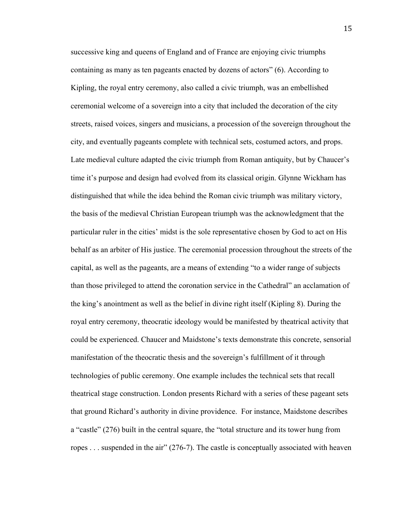successive king and queens of England and of France are enjoying civic triumphs containing as many as ten pageants enacted by dozens of actors" (6). According to Kipling, the royal entry ceremony, also called a civic triumph, was an embellished ceremonial welcome of a sovereign into a city that included the decoration of the city streets, raised voices, singers and musicians, a procession of the sovereign throughout the city, and eventually pageants complete with technical sets, costumed actors, and props. Late medieval culture adapted the civic triumph from Roman antiquity, but by Chaucer's time it's purpose and design had evolved from its classical origin. Glynne Wickham has distinguished that while the idea behind the Roman civic triumph was military victory, the basis of the medieval Christian European triumph was the acknowledgment that the particular ruler in the cities' midst is the sole representative chosen by God to act on His behalf as an arbiter of His justice. The ceremonial procession throughout the streets of the capital, as well as the pageants, are a means of extending "to a wider range of subjects than those privileged to attend the coronation service in the Cathedral" an acclamation of the king's anointment as well as the belief in divine right itself (Kipling 8). During the royal entry ceremony, theocratic ideology would be manifested by theatrical activity that could be experienced. Chaucer and Maidstone's texts demonstrate this concrete, sensorial manifestation of the theocratic thesis and the sovereign's fulfillment of it through technologies of public ceremony. One example includes the technical sets that recall theatrical stage construction. London presents Richard with a series of these pageant sets that ground Richard's authority in divine providence. For instance, Maidstone describes a "castle" (276) built in the central square, the "total structure and its tower hung from ropes . . . suspended in the air" (276-7). The castle is conceptually associated with heaven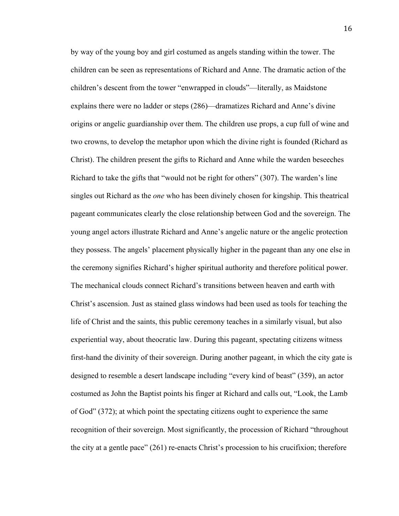by way of the young boy and girl costumed as angels standing within the tower. The children can be seen as representations of Richard and Anne. The dramatic action of the children's descent from the tower "enwrapped in clouds"—literally, as Maidstone explains there were no ladder or steps (286)—dramatizes Richard and Anne's divine origins or angelic guardianship over them. The children use props, a cup full of wine and two crowns, to develop the metaphor upon which the divine right is founded (Richard as Christ). The children present the gifts to Richard and Anne while the warden beseeches Richard to take the gifts that "would not be right for others" (307). The warden's line singles out Richard as the *one* who has been divinely chosen for kingship. This theatrical pageant communicates clearly the close relationship between God and the sovereign. The young angel actors illustrate Richard and Anne's angelic nature or the angelic protection they possess. The angels' placement physically higher in the pageant than any one else in the ceremony signifies Richard's higher spiritual authority and therefore political power. The mechanical clouds connect Richard's transitions between heaven and earth with Christ's ascension. Just as stained glass windows had been used as tools for teaching the life of Christ and the saints, this public ceremony teaches in a similarly visual, but also experiential way, about theocratic law. During this pageant, spectating citizens witness first-hand the divinity of their sovereign. During another pageant, in which the city gate is designed to resemble a desert landscape including "every kind of beast" (359), an actor costumed as John the Baptist points his finger at Richard and calls out, "Look, the Lamb of God" (372); at which point the spectating citizens ought to experience the same recognition of their sovereign. Most significantly, the procession of Richard "throughout the city at a gentle pace" (261) re-enacts Christ's procession to his crucifixion; therefore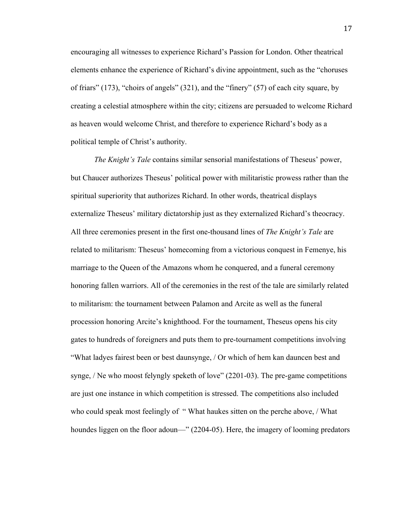encouraging all witnesses to experience Richard's Passion for London. Other theatrical elements enhance the experience of Richard's divine appointment, such as the "choruses of friars" (173), "choirs of angels" (321), and the "finery" (57) of each city square, by creating a celestial atmosphere within the city; citizens are persuaded to welcome Richard as heaven would welcome Christ, and therefore to experience Richard's body as a political temple of Christ's authority.

*The Knight's Tale* contains similar sensorial manifestations of Theseus' power, but Chaucer authorizes Theseus' political power with militaristic prowess rather than the spiritual superiority that authorizes Richard. In other words, theatrical displays externalize Theseus' military dictatorship just as they externalized Richard's theocracy. All three ceremonies present in the first one-thousand lines of *The Knight's Tale* are related to militarism: Theseus' homecoming from a victorious conquest in Femenye, his marriage to the Queen of the Amazons whom he conquered, and a funeral ceremony honoring fallen warriors. All of the ceremonies in the rest of the tale are similarly related to militarism: the tournament between Palamon and Arcite as well as the funeral procession honoring Arcite's knighthood. For the tournament, Theseus opens his city gates to hundreds of foreigners and puts them to pre-tournament competitions involving "What ladyes fairest been or best daunsynge, / Or which of hem kan dauncen best and synge, / Ne who moost felyngly speketh of love" (2201-03). The pre-game competitions are just one instance in which competition is stressed. The competitions also included who could speak most feelingly of "What haukes sitten on the perche above, / What houndes liggen on the floor adoun—" (2204-05). Here, the imagery of looming predators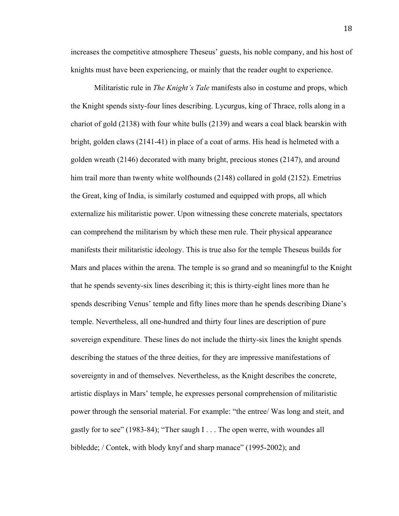increases the competitive atmosphere Theseus' guests, his noble company, and his host of knights must have been experiencing, or mainly that the reader ought to experience.

Militaristic rule in *The Knight's Tale* manifests also in costume and props, which the Knight spends sixty-four lines describing. Lycurgus, king of Thrace, rolls along in a chariot of gold (2138) with four white bulls (2139) and wears a coal black bearskin with bright, golden claws (2141-41) in place of a coat of arms. His head is helmeted with a golden wreath (2146) decorated with many bright, precious stones (2147), and around him trail more than twenty white wolfhounds (2148) collared in gold (2152). Emetrius the Great, king of India, is similarly costumed and equipped with props, all which externalize his militaristic power. Upon witnessing these concrete materials, spectators can comprehend the militarism by which these men rule. Their physical appearance manifests their militaristic ideology. This is true also for the temple Theseus builds for Mars and places within the arena. The temple is so grand and so meaningful to the Knight that he spends seventy-six lines describing it; this is thirty-eight lines more than he spends describing Venus' temple and fifty lines more than he spends describing Diane's temple. Nevertheless, all one-hundred and thirty four lines are description of pure sovereign expenditure. These lines do not include the thirty-six lines the knight spends describing the statues of the three deities, for they are impressive manifestations of sovereignty in and of themselves. Nevertheless, as the Knight describes the concrete, artistic displays in Mars' temple, he expresses personal comprehension of militaristic power through the sensorial material. For example: "the entree/ Was long and steit, and gastly for to see" (1983-84); "Ther saugh I . . . The open werre, with woundes all bibledde; / Contek, with blody knyf and sharp manace" (1995-2002); and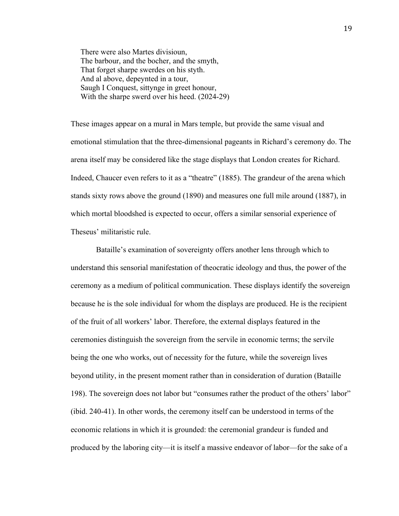There were also Martes divisioun, The barbour, and the bocher, and the smyth, That forget sharpe swerdes on his styth. And al above, depeynted in a tour, Saugh I Conquest, sittynge in greet honour, With the sharpe swerd over his heed. (2024-29)

These images appear on a mural in Mars temple, but provide the same visual and emotional stimulation that the three-dimensional pageants in Richard's ceremony do. The arena itself may be considered like the stage displays that London creates for Richard. Indeed, Chaucer even refers to it as a "theatre" (1885). The grandeur of the arena which stands sixty rows above the ground (1890) and measures one full mile around (1887), in which mortal bloodshed is expected to occur, offers a similar sensorial experience of Theseus' militaristic rule.

Bataille's examination of sovereignty offers another lens through which to understand this sensorial manifestation of theocratic ideology and thus, the power of the ceremony as a medium of political communication. These displays identify the sovereign because he is the sole individual for whom the displays are produced. He is the recipient of the fruit of all workers' labor. Therefore, the external displays featured in the ceremonies distinguish the sovereign from the servile in economic terms; the servile being the one who works, out of necessity for the future, while the sovereign lives beyond utility, in the present moment rather than in consideration of duration (Bataille 198). The sovereign does not labor but "consumes rather the product of the others' labor" (ibid. 240-41). In other words, the ceremony itself can be understood in terms of the economic relations in which it is grounded: the ceremonial grandeur is funded and produced by the laboring city—it is itself a massive endeavor of labor—for the sake of a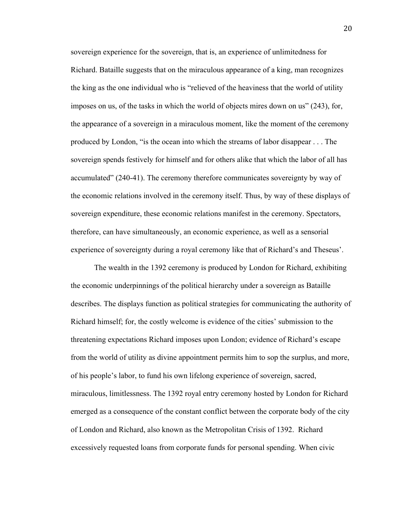sovereign experience for the sovereign, that is, an experience of unlimitedness for Richard. Bataille suggests that on the miraculous appearance of a king, man recognizes the king as the one individual who is "relieved of the heaviness that the world of utility imposes on us, of the tasks in which the world of objects mires down on us" (243), for, the appearance of a sovereign in a miraculous moment, like the moment of the ceremony produced by London, "is the ocean into which the streams of labor disappear . . . The sovereign spends festively for himself and for others alike that which the labor of all has accumulated" (240-41). The ceremony therefore communicates sovereignty by way of the economic relations involved in the ceremony itself. Thus, by way of these displays of sovereign expenditure, these economic relations manifest in the ceremony. Spectators, therefore, can have simultaneously, an economic experience, as well as a sensorial experience of sovereignty during a royal ceremony like that of Richard's and Theseus'.

The wealth in the 1392 ceremony is produced by London for Richard, exhibiting the economic underpinnings of the political hierarchy under a sovereign as Bataille describes. The displays function as political strategies for communicating the authority of Richard himself; for, the costly welcome is evidence of the cities' submission to the threatening expectations Richard imposes upon London; evidence of Richard's escape from the world of utility as divine appointment permits him to sop the surplus, and more, of his people's labor, to fund his own lifelong experience of sovereign, sacred, miraculous, limitlessness. The 1392 royal entry ceremony hosted by London for Richard emerged as a consequence of the constant conflict between the corporate body of the city of London and Richard, also known as the Metropolitan Crisis of 1392. Richard excessively requested loans from corporate funds for personal spending. When civic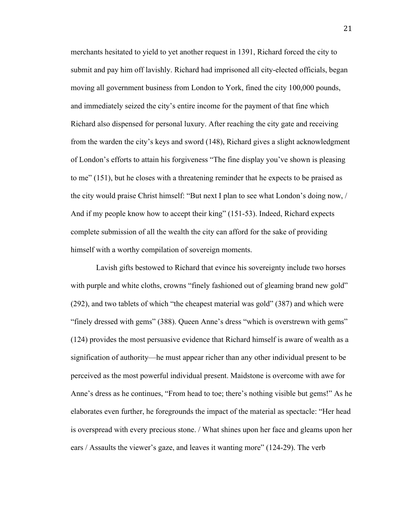merchants hesitated to yield to yet another request in 1391, Richard forced the city to submit and pay him off lavishly. Richard had imprisoned all city-elected officials, began moving all government business from London to York, fined the city 100,000 pounds, and immediately seized the city's entire income for the payment of that fine which Richard also dispensed for personal luxury. After reaching the city gate and receiving from the warden the city's keys and sword (148), Richard gives a slight acknowledgment of London's efforts to attain his forgiveness "The fine display you've shown is pleasing to me" (151), but he closes with a threatening reminder that he expects to be praised as the city would praise Christ himself: "But next I plan to see what London's doing now, / And if my people know how to accept their king" (151-53). Indeed, Richard expects complete submission of all the wealth the city can afford for the sake of providing himself with a worthy compilation of sovereign moments.

Lavish gifts bestowed to Richard that evince his sovereignty include two horses with purple and white cloths, crowns "finely fashioned out of gleaming brand new gold" (292), and two tablets of which "the cheapest material was gold" (387) and which were "finely dressed with gems" (388). Queen Anne's dress "which is overstrewn with gems" (124) provides the most persuasive evidence that Richard himself is aware of wealth as a signification of authority—he must appear richer than any other individual present to be perceived as the most powerful individual present. Maidstone is overcome with awe for Anne's dress as he continues, "From head to toe; there's nothing visible but gems!" As he elaborates even further, he foregrounds the impact of the material as spectacle: "Her head is overspread with every precious stone. / What shines upon her face and gleams upon her ears / Assaults the viewer's gaze, and leaves it wanting more" (124-29). The verb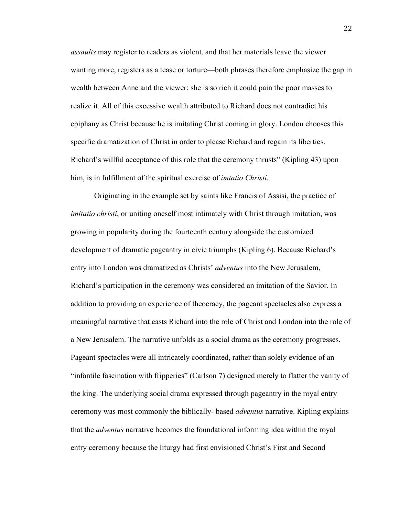*assaults* may register to readers as violent, and that her materials leave the viewer wanting more, registers as a tease or torture—both phrases therefore emphasize the gap in wealth between Anne and the viewer: she is so rich it could pain the poor masses to realize it. All of this excessive wealth attributed to Richard does not contradict his epiphany as Christ because he is imitating Christ coming in glory. London chooses this specific dramatization of Christ in order to please Richard and regain its liberties. Richard's willful acceptance of this role that the ceremony thrusts" (Kipling 43) upon him, is in fulfillment of the spiritual exercise of *imtatio Christi.*

Originating in the example set by saints like Francis of Assisi, the practice of *imitatio christi*, or uniting oneself most intimately with Christ through imitation, was growing in popularity during the fourteenth century alongside the customized development of dramatic pageantry in civic triumphs (Kipling 6). Because Richard's entry into London was dramatized as Christs' *adventus* into the New Jerusalem, Richard's participation in the ceremony was considered an imitation of the Savior. In addition to providing an experience of theocracy, the pageant spectacles also express a meaningful narrative that casts Richard into the role of Christ and London into the role of a New Jerusalem. The narrative unfolds as a social drama as the ceremony progresses. Pageant spectacles were all intricately coordinated, rather than solely evidence of an "infantile fascination with fripperies" (Carlson 7) designed merely to flatter the vanity of the king. The underlying social drama expressed through pageantry in the royal entry ceremony was most commonly the biblically- based *adventus* narrative. Kipling explains that the *adventus* narrative becomes the foundational informing idea within the royal entry ceremony because the liturgy had first envisioned Christ's First and Second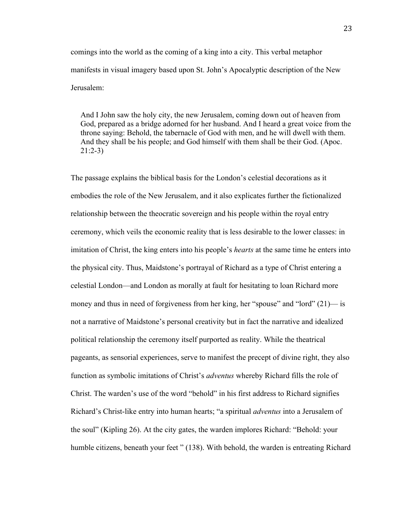comings into the world as the coming of a king into a city. This verbal metaphor manifests in visual imagery based upon St. John's Apocalyptic description of the New Jerusalem:

And I John saw the holy city, the new Jerusalem, coming down out of heaven from God, prepared as a bridge adorned for her husband. And I heard a great voice from the throne saying: Behold, the tabernacle of God with men, and he will dwell with them. And they shall be his people; and God himself with them shall be their God. (Apoc. 21:2-3)

The passage explains the biblical basis for the London's celestial decorations as it embodies the role of the New Jerusalem, and it also explicates further the fictionalized relationship between the theocratic sovereign and his people within the royal entry ceremony, which veils the economic reality that is less desirable to the lower classes: in imitation of Christ, the king enters into his people's *hearts* at the same time he enters into the physical city. Thus, Maidstone's portrayal of Richard as a type of Christ entering a celestial London—and London as morally at fault for hesitating to loan Richard more money and thus in need of forgiveness from her king, her "spouse" and "lord" (21)— is not a narrative of Maidstone's personal creativity but in fact the narrative and idealized political relationship the ceremony itself purported as reality. While the theatrical pageants, as sensorial experiences, serve to manifest the precept of divine right, they also function as symbolic imitations of Christ's *adventus* whereby Richard fills the role of Christ. The warden's use of the word "behold" in his first address to Richard signifies Richard's Christ-like entry into human hearts; "a spiritual *adventus* into a Jerusalem of the soul" (Kipling 26). At the city gates, the warden implores Richard: "Behold: your humble citizens, beneath your feet " (138). With behold, the warden is entreating Richard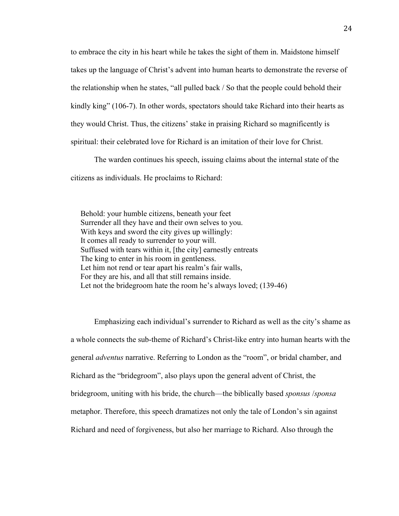to embrace the city in his heart while he takes the sight of them in. Maidstone himself takes up the language of Christ's advent into human hearts to demonstrate the reverse of the relationship when he states, "all pulled back / So that the people could behold their kindly king" (106-7). In other words, spectators should take Richard into their hearts as they would Christ. Thus, the citizens' stake in praising Richard so magnificently is spiritual: their celebrated love for Richard is an imitation of their love for Christ.

The warden continues his speech, issuing claims about the internal state of the citizens as individuals. He proclaims to Richard:

 Behold: your humble citizens, beneath your feet Surrender all they have and their own selves to you. With keys and sword the city gives up willingly: It comes all ready to surrender to your will. Suffused with tears within it, [the city] earnestly entreats The king to enter in his room in gentleness. Let him not rend or tear apart his realm's fair walls, For they are his, and all that still remains inside. Let not the bridegroom hate the room he's always loved; (139-46)

Emphasizing each individual's surrender to Richard as well as the city's shame as a whole connects the sub-theme of Richard's Christ-like entry into human hearts with the general *adventus* narrative. Referring to London as the "room", or bridal chamber, and Richard as the "bridegroom", also plays upon the general advent of Christ, the bridegroom, uniting with his bride, the church—the biblically based *sponsus* /*sponsa* metaphor. Therefore, this speech dramatizes not only the tale of London's sin against Richard and need of forgiveness, but also her marriage to Richard. Also through the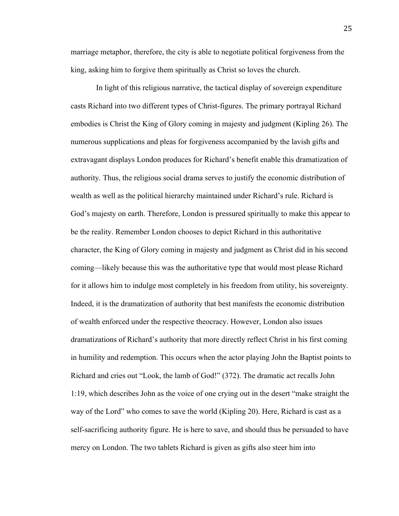marriage metaphor, therefore, the city is able to negotiate political forgiveness from the king, asking him to forgive them spiritually as Christ so loves the church.

In light of this religious narrative, the tactical display of sovereign expenditure casts Richard into two different types of Christ-figures. The primary portrayal Richard embodies is Christ the King of Glory coming in majesty and judgment (Kipling 26). The numerous supplications and pleas for forgiveness accompanied by the lavish gifts and extravagant displays London produces for Richard's benefit enable this dramatization of authority. Thus, the religious social drama serves to justify the economic distribution of wealth as well as the political hierarchy maintained under Richard's rule. Richard is God's majesty on earth. Therefore, London is pressured spiritually to make this appear to be the reality. Remember London chooses to depict Richard in this authoritative character, the King of Glory coming in majesty and judgment as Christ did in his second coming—likely because this was the authoritative type that would most please Richard for it allows him to indulge most completely in his freedom from utility, his sovereignty. Indeed, it is the dramatization of authority that best manifests the economic distribution of wealth enforced under the respective theocracy. However, London also issues dramatizations of Richard's authority that more directly reflect Christ in his first coming in humility and redemption. This occurs when the actor playing John the Baptist points to Richard and cries out "Look, the lamb of God!" (372). The dramatic act recalls John 1:19, which describes John as the voice of one crying out in the desert "make straight the way of the Lord" who comes to save the world (Kipling 20). Here, Richard is cast as a self-sacrificing authority figure. He is here to save, and should thus be persuaded to have mercy on London. The two tablets Richard is given as gifts also steer him into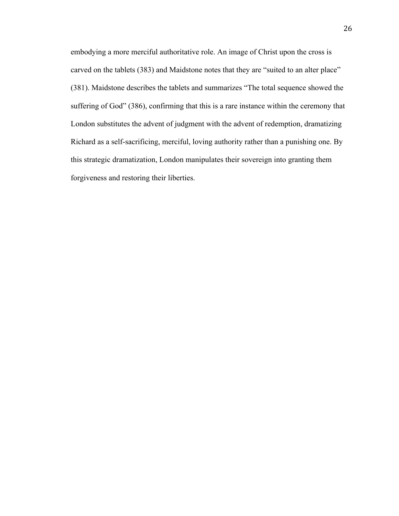embodying a more merciful authoritative role. An image of Christ upon the cross is carved on the tablets (383) and Maidstone notes that they are "suited to an alter place" (381). Maidstone describes the tablets and summarizes "The total sequence showed the suffering of God" (386), confirming that this is a rare instance within the ceremony that London substitutes the advent of judgment with the advent of redemption, dramatizing Richard as a self-sacrificing, merciful, loving authority rather than a punishing one. By this strategic dramatization, London manipulates their sovereign into granting them forgiveness and restoring their liberties.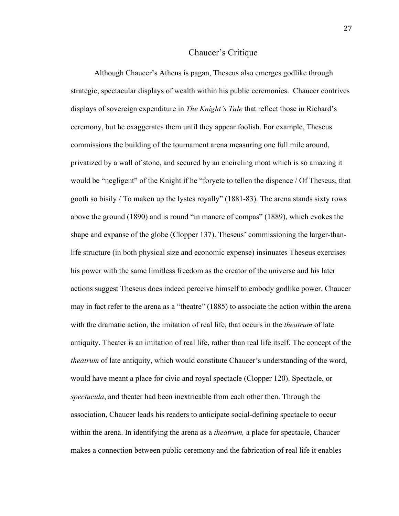## Chaucer's Critique

Although Chaucer's Athens is pagan, Theseus also emerges godlike through strategic, spectacular displays of wealth within his public ceremonies. Chaucer contrives displays of sovereign expenditure in *The Knight's Tale* that reflect those in Richard's ceremony, but he exaggerates them until they appear foolish. For example, Theseus commissions the building of the tournament arena measuring one full mile around, privatized by a wall of stone, and secured by an encircling moat which is so amazing it would be "negligent" of the Knight if he "foryete to tellen the dispence / Of Theseus, that gooth so bisily / To maken up the lystes royally" (1881-83). The arena stands sixty rows above the ground (1890) and is round "in manere of compas" (1889), which evokes the shape and expanse of the globe (Clopper 137). Theseus' commissioning the larger-thanlife structure (in both physical size and economic expense) insinuates Theseus exercises his power with the same limitless freedom as the creator of the universe and his later actions suggest Theseus does indeed perceive himself to embody godlike power. Chaucer may in fact refer to the arena as a "theatre" (1885) to associate the action within the arena with the dramatic action, the imitation of real life, that occurs in the *theatrum* of late antiquity. Theater is an imitation of real life, rather than real life itself. The concept of the *theatrum* of late antiquity, which would constitute Chaucer's understanding of the word, would have meant a place for civic and royal spectacle (Clopper 120). Spectacle, or *spectacula*, and theater had been inextricable from each other then. Through the association, Chaucer leads his readers to anticipate social-defining spectacle to occur within the arena. In identifying the arena as a *theatrum,* a place for spectacle, Chaucer makes a connection between public ceremony and the fabrication of real life it enables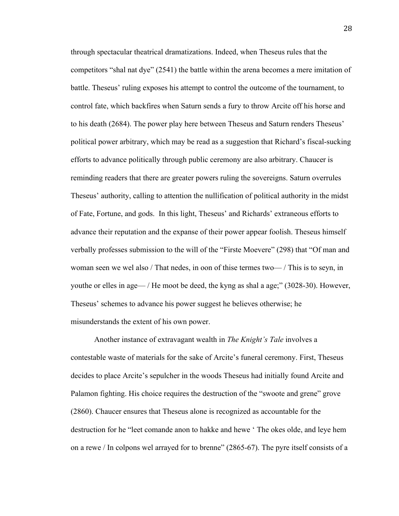through spectacular theatrical dramatizations. Indeed, when Theseus rules that the competitors "shal nat dye" (2541) the battle within the arena becomes a mere imitation of battle. Theseus' ruling exposes his attempt to control the outcome of the tournament, to control fate, which backfires when Saturn sends a fury to throw Arcite off his horse and to his death (2684). The power play here between Theseus and Saturn renders Theseus' political power arbitrary, which may be read as a suggestion that Richard's fiscal-sucking efforts to advance politically through public ceremony are also arbitrary. Chaucer is reminding readers that there are greater powers ruling the sovereigns. Saturn overrules Theseus' authority, calling to attention the nullification of political authority in the midst of Fate, Fortune, and gods. In this light, Theseus' and Richards' extraneous efforts to advance their reputation and the expanse of their power appear foolish. Theseus himself verbally professes submission to the will of the "Firste Moevere" (298) that "Of man and woman seen we wel also / That nedes, in oon of thise termes two— / This is to seyn, in youthe or elles in age— / He moot be deed, the kyng as shal a age;" (3028-30). However, Theseus' schemes to advance his power suggest he believes otherwise; he misunderstands the extent of his own power.

Another instance of extravagant wealth in *The Knight's Tale* involves a contestable waste of materials for the sake of Arcite's funeral ceremony. First, Theseus decides to place Arcite's sepulcher in the woods Theseus had initially found Arcite and Palamon fighting. His choice requires the destruction of the "swoote and grene" grove (2860). Chaucer ensures that Theseus alone is recognized as accountable for the destruction for he "leet comande anon to hakke and hewe ' The okes olde, and leye hem on a rewe / In colpons wel arrayed for to brenne" (2865-67). The pyre itself consists of a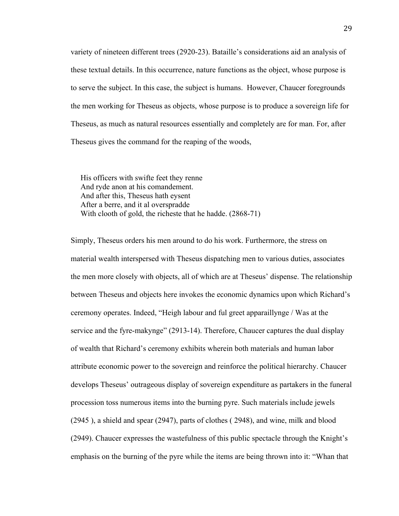variety of nineteen different trees (2920-23). Bataille's considerations aid an analysis of these textual details. In this occurrence, nature functions as the object, whose purpose is to serve the subject. In this case, the subject is humans. However, Chaucer foregrounds the men working for Theseus as objects, whose purpose is to produce a sovereign life for Theseus, as much as natural resources essentially and completely are for man. For, after Theseus gives the command for the reaping of the woods,

 His officers with swifte feet they renne And ryde anon at his comandement. And after this, Theseus hath eysent After a berre, and it al overspradde With clooth of gold, the richeste that he hadde. (2868-71)

Simply, Theseus orders his men around to do his work. Furthermore, the stress on material wealth interspersed with Theseus dispatching men to various duties, associates the men more closely with objects, all of which are at Theseus' dispense. The relationship between Theseus and objects here invokes the economic dynamics upon which Richard's ceremony operates. Indeed, "Heigh labour and ful greet apparaillynge / Was at the service and the fyre-makynge" (2913-14). Therefore, Chaucer captures the dual display of wealth that Richard's ceremony exhibits wherein both materials and human labor attribute economic power to the sovereign and reinforce the political hierarchy. Chaucer develops Theseus' outrageous display of sovereign expenditure as partakers in the funeral procession toss numerous items into the burning pyre. Such materials include jewels (2945 ), a shield and spear (2947), parts of clothes ( 2948), and wine, milk and blood (2949). Chaucer expresses the wastefulness of this public spectacle through the Knight's emphasis on the burning of the pyre while the items are being thrown into it: "Whan that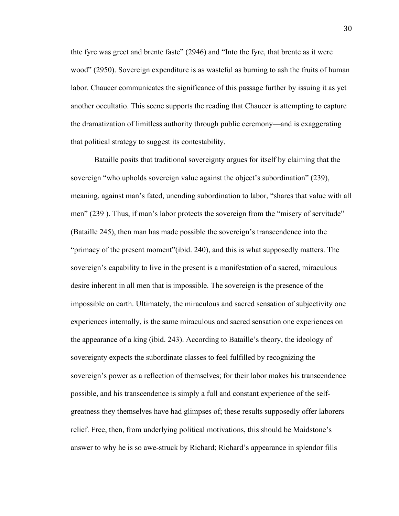thte fyre was greet and brente faste" (2946) and "Into the fyre, that brente as it were wood" (2950). Sovereign expenditure is as wasteful as burning to ash the fruits of human labor. Chaucer communicates the significance of this passage further by issuing it as yet another occultatio. This scene supports the reading that Chaucer is attempting to capture the dramatization of limitless authority through public ceremony—and is exaggerating that political strategy to suggest its contestability.

Bataille posits that traditional sovereignty argues for itself by claiming that the sovereign "who upholds sovereign value against the object's subordination" (239), meaning, against man's fated, unending subordination to labor, "shares that value with all men" (239 ). Thus, if man's labor protects the sovereign from the "misery of servitude" (Bataille 245), then man has made possible the sovereign's transcendence into the "primacy of the present moment"(ibid. 240), and this is what supposedly matters. The sovereign's capability to live in the present is a manifestation of a sacred, miraculous desire inherent in all men that is impossible. The sovereign is the presence of the impossible on earth. Ultimately, the miraculous and sacred sensation of subjectivity one experiences internally, is the same miraculous and sacred sensation one experiences on the appearance of a king (ibid. 243). According to Bataille's theory, the ideology of sovereignty expects the subordinate classes to feel fulfilled by recognizing the sovereign's power as a reflection of themselves; for their labor makes his transcendence possible, and his transcendence is simply a full and constant experience of the selfgreatness they themselves have had glimpses of; these results supposedly offer laborers relief. Free, then, from underlying political motivations, this should be Maidstone's answer to why he is so awe-struck by Richard; Richard's appearance in splendor fills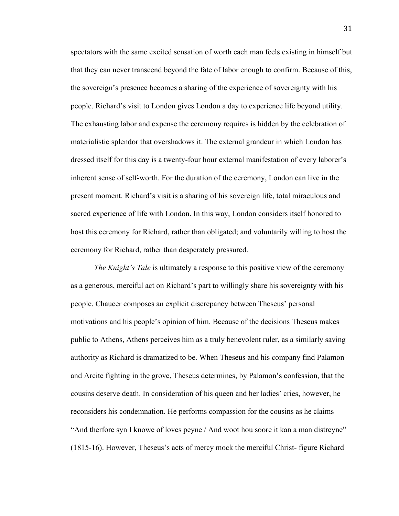spectators with the same excited sensation of worth each man feels existing in himself but that they can never transcend beyond the fate of labor enough to confirm. Because of this, the sovereign's presence becomes a sharing of the experience of sovereignty with his people. Richard's visit to London gives London a day to experience life beyond utility. The exhausting labor and expense the ceremony requires is hidden by the celebration of materialistic splendor that overshadows it. The external grandeur in which London has dressed itself for this day is a twenty-four hour external manifestation of every laborer's inherent sense of self-worth. For the duration of the ceremony, London can live in the present moment. Richard's visit is a sharing of his sovereign life, total miraculous and sacred experience of life with London. In this way, London considers itself honored to host this ceremony for Richard, rather than obligated; and voluntarily willing to host the ceremony for Richard, rather than desperately pressured.

*The Knight's Tale* is ultimately a response to this positive view of the ceremony as a generous, merciful act on Richard's part to willingly share his sovereignty with his people. Chaucer composes an explicit discrepancy between Theseus' personal motivations and his people's opinion of him. Because of the decisions Theseus makes public to Athens, Athens perceives him as a truly benevolent ruler, as a similarly saving authority as Richard is dramatized to be. When Theseus and his company find Palamon and Arcite fighting in the grove, Theseus determines, by Palamon's confession, that the cousins deserve death. In consideration of his queen and her ladies' cries, however, he reconsiders his condemnation. He performs compassion for the cousins as he claims "And therfore syn I knowe of loves peyne / And woot hou soore it kan a man distreyne" (1815-16). However, Theseus's acts of mercy mock the merciful Christ- figure Richard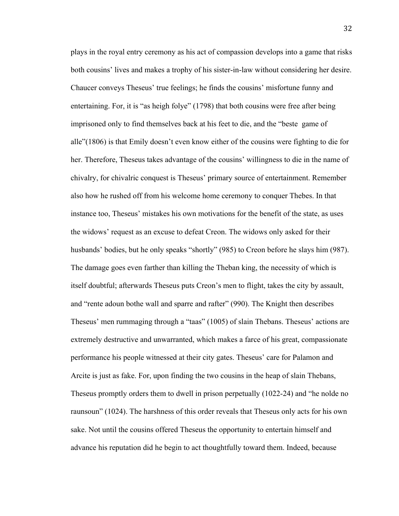plays in the royal entry ceremony as his act of compassion develops into a game that risks both cousins' lives and makes a trophy of his sister-in-law without considering her desire. Chaucer conveys Theseus' true feelings; he finds the cousins' misfortune funny and entertaining. For, it is "as heigh folye" (1798) that both cousins were free after being imprisoned only to find themselves back at his feet to die, and the "beste game of alle"(1806) is that Emily doesn't even know either of the cousins were fighting to die for her. Therefore, Theseus takes advantage of the cousins' willingness to die in the name of chivalry, for chivalric conquest is Theseus' primary source of entertainment. Remember also how he rushed off from his welcome home ceremony to conquer Thebes. In that instance too, Theseus' mistakes his own motivations for the benefit of the state, as uses the widows' request as an excuse to defeat Creon. The widows only asked for their husbands' bodies, but he only speaks "shortly" (985) to Creon before he slays him (987). The damage goes even farther than killing the Theban king, the necessity of which is itself doubtful; afterwards Theseus puts Creon's men to flight, takes the city by assault, and "rente adoun bothe wall and sparre and rafter" (990). The Knight then describes Theseus' men rummaging through a "taas" (1005) of slain Thebans. Theseus' actions are extremely destructive and unwarranted, which makes a farce of his great, compassionate performance his people witnessed at their city gates. Theseus' care for Palamon and Arcite is just as fake. For, upon finding the two cousins in the heap of slain Thebans, Theseus promptly orders them to dwell in prison perpetually (1022-24) and "he nolde no raunsoun" (1024). The harshness of this order reveals that Theseus only acts for his own sake. Not until the cousins offered Theseus the opportunity to entertain himself and advance his reputation did he begin to act thoughtfully toward them. Indeed, because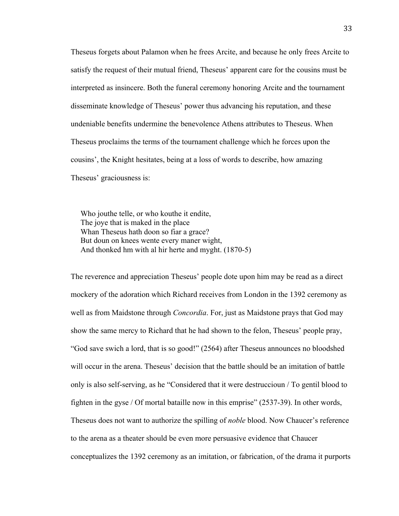Theseus forgets about Palamon when he frees Arcite, and because he only frees Arcite to satisfy the request of their mutual friend, Theseus' apparent care for the cousins must be interpreted as insincere. Both the funeral ceremony honoring Arcite and the tournament disseminate knowledge of Theseus' power thus advancing his reputation, and these undeniable benefits undermine the benevolence Athens attributes to Theseus. When Theseus proclaims the terms of the tournament challenge which he forces upon the cousins', the Knight hesitates, being at a loss of words to describe, how amazing Theseus' graciousness is:

 Who jouthe telle, or who kouthe it endite, The joye that is maked in the place Whan Theseus hath doon so fiar a grace? But doun on knees wente every maner wight, And thonked hm with al hir herte and myght. (1870-5)

The reverence and appreciation Theseus' people dote upon him may be read as a direct mockery of the adoration which Richard receives from London in the 1392 ceremony as well as from Maidstone through *Concordia*. For, just as Maidstone prays that God may show the same mercy to Richard that he had shown to the felon, Theseus' people pray, "God save swich a lord, that is so good!" (2564) after Theseus announces no bloodshed will occur in the arena. Theseus' decision that the battle should be an imitation of battle only is also self-serving, as he "Considered that it were destruccioun / To gentil blood to fighten in the gyse / Of mortal bataille now in this emprise" (2537-39). In other words, Theseus does not want to authorize the spilling of *noble* blood. Now Chaucer's reference to the arena as a theater should be even more persuasive evidence that Chaucer conceptualizes the 1392 ceremony as an imitation, or fabrication, of the drama it purports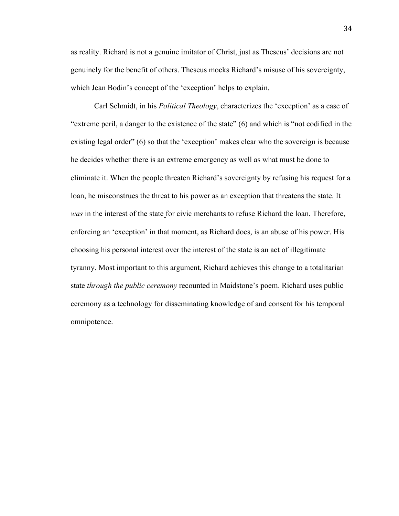as reality. Richard is not a genuine imitator of Christ, just as Theseus' decisions are not genuinely for the benefit of others. Theseus mocks Richard's misuse of his sovereignty, which Jean Bodin's concept of the 'exception' helps to explain.

Carl Schmidt, in his *Political Theology*, characterizes the 'exception' as a case of "extreme peril, a danger to the existence of the state" (6) and which is "not codified in the existing legal order" (6) so that the 'exception' makes clear who the sovereign is because he decides whether there is an extreme emergency as well as what must be done to eliminate it. When the people threaten Richard's sovereignty by refusing his request for a loan, he misconstrues the threat to his power as an exception that threatens the state. It *was* in the interest of the state for civic merchants to refuse Richard the loan. Therefore, enforcing an 'exception' in that moment, as Richard does, is an abuse of his power. His choosing his personal interest over the interest of the state is an act of illegitimate tyranny. Most important to this argument, Richard achieves this change to a totalitarian state *through the public ceremony* recounted in Maidstone's poem. Richard uses public ceremony as a technology for disseminating knowledge of and consent for his temporal omnipotence.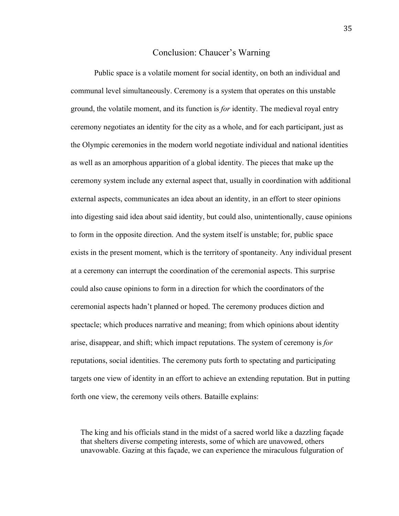## Conclusion: Chaucer's Warning

Public space is a volatile moment for social identity, on both an individual and communal level simultaneously. Ceremony is a system that operates on this unstable ground, the volatile moment, and its function is *for* identity. The medieval royal entry ceremony negotiates an identity for the city as a whole, and for each participant, just as the Olympic ceremonies in the modern world negotiate individual and national identities as well as an amorphous apparition of a global identity. The pieces that make up the ceremony system include any external aspect that, usually in coordination with additional external aspects, communicates an idea about an identity, in an effort to steer opinions into digesting said idea about said identity, but could also, unintentionally, cause opinions to form in the opposite direction. And the system itself is unstable; for, public space exists in the present moment, which is the territory of spontaneity. Any individual present at a ceremony can interrupt the coordination of the ceremonial aspects. This surprise could also cause opinions to form in a direction for which the coordinators of the ceremonial aspects hadn't planned or hoped. The ceremony produces diction and spectacle; which produces narrative and meaning; from which opinions about identity arise, disappear, and shift; which impact reputations. The system of ceremony is *for* reputations, social identities. The ceremony puts forth to spectating and participating targets one view of identity in an effort to achieve an extending reputation. But in putting forth one view, the ceremony veils others. Bataille explains:

The king and his officials stand in the midst of a sacred world like a dazzling façade that shelters diverse competing interests, some of which are unavowed, others unavowable. Gazing at this façade, we can experience the miraculous fulguration of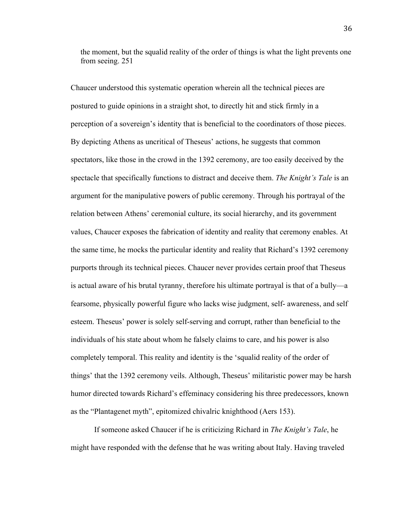the moment, but the squalid reality of the order of things is what the light prevents one from seeing. 251

Chaucer understood this systematic operation wherein all the technical pieces are postured to guide opinions in a straight shot, to directly hit and stick firmly in a perception of a sovereign's identity that is beneficial to the coordinators of those pieces. By depicting Athens as uncritical of Theseus' actions, he suggests that common spectators, like those in the crowd in the 1392 ceremony, are too easily deceived by the spectacle that specifically functions to distract and deceive them. *The Knight's Tale* is an argument for the manipulative powers of public ceremony. Through his portrayal of the relation between Athens' ceremonial culture, its social hierarchy, and its government values, Chaucer exposes the fabrication of identity and reality that ceremony enables. At the same time, he mocks the particular identity and reality that Richard's 1392 ceremony purports through its technical pieces. Chaucer never provides certain proof that Theseus is actual aware of his brutal tyranny, therefore his ultimate portrayal is that of a bully—a fearsome, physically powerful figure who lacks wise judgment, self- awareness, and self esteem. Theseus' power is solely self-serving and corrupt, rather than beneficial to the individuals of his state about whom he falsely claims to care, and his power is also completely temporal. This reality and identity is the 'squalid reality of the order of things' that the 1392 ceremony veils. Although, Theseus' militaristic power may be harsh humor directed towards Richard's effeminacy considering his three predecessors, known as the "Plantagenet myth", epitomized chivalric knighthood (Aers 153).

If someone asked Chaucer if he is criticizing Richard in *The Knight's Tale*, he might have responded with the defense that he was writing about Italy. Having traveled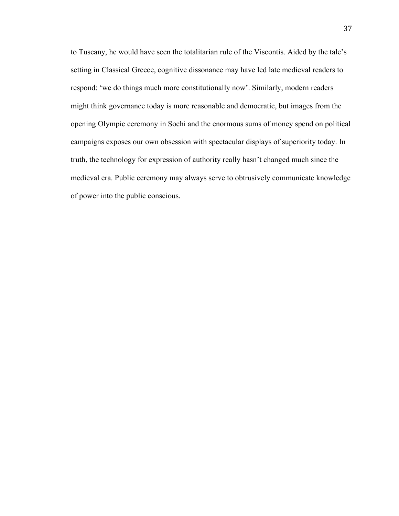to Tuscany, he would have seen the totalitarian rule of the Viscontis. Aided by the tale's setting in Classical Greece, cognitive dissonance may have led late medieval readers to respond: 'we do things much more constitutionally now'. Similarly, modern readers might think governance today is more reasonable and democratic, but images from the opening Olympic ceremony in Sochi and the enormous sums of money spend on political campaigns exposes our own obsession with spectacular displays of superiority today. In truth, the technology for expression of authority really hasn't changed much since the medieval era. Public ceremony may always serve to obtrusively communicate knowledge of power into the public conscious.